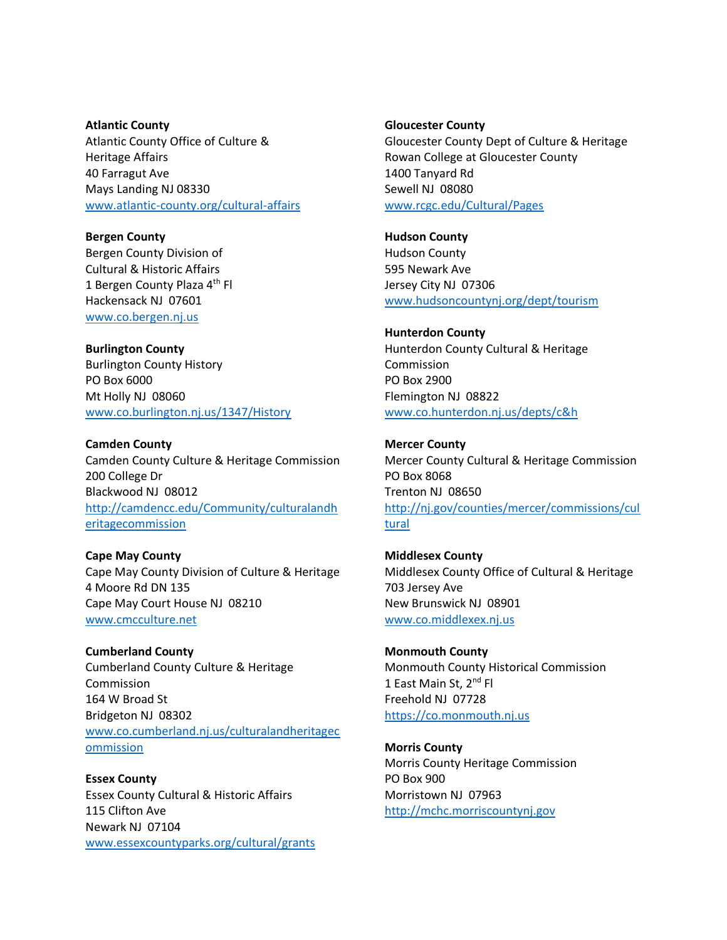**Atlantic County**  Atlantic County Office of Culture & Heritage Affairs 40 Farragut Ave Mays Landing NJ 08330 [www.atlantic-county.org/cultural-affairs](http://www.atlantic-county.org/cultural-affairs)

**Bergen County** Bergen County Division of Cultural & Historic Affairs 1 Bergen County Plaza 4<sup>th</sup> Fl Hackensack NJ 07601 [www.co.bergen.nj.us](http://www.co.bergen.nj.us/)

**Burlington County** Burlington County History PO Box 6000 Mt Holly NJ 08060 [www.co.burlington.nj.us/1347/History](http://www.co.burlington.nj.us/1347/History)

**Camden County** Camden County Culture & Heritage Commission 200 College Dr Blackwood NJ 08012 [http://camdencc.edu/Community/culturalandh](http://camdencc.edu/Community/culturalandheritagecommission) [eritagecommission](http://camdencc.edu/Community/culturalandheritagecommission)

**Cape May County** Cape May County Division of Culture & Heritage 4 Moore Rd DN 135 Cape May Court House NJ 08210 [www.cmcculture.net](http://www.cmcculture.net/)

**Cumberland County** Cumberland County Culture & Heritage Commission 164 W Broad St Bridgeton NJ 08302 [www.co.cumberland.nj.us/culturalandheritagec](http://www.co.cumberland.nj.us/culturalandheritagecommission) [ommission](http://www.co.cumberland.nj.us/culturalandheritagecommission)

**Essex County** Essex County Cultural & Historic Affairs 115 Clifton Ave Newark NJ 07104 [www.essexcountyparks.org/cultural/grants](http://www.essexcountyparks.org/cultural/grants) **Gloucester County**

Gloucester County Dept of Culture & Heritage Rowan College at Gloucester County 1400 Tanyard Rd Sewell NJ 08080 [www.rcgc.edu/Cultural/Pages](http://www.rcgc.edu/Cultural/Pages)

**Hudson County** Hudson County 595 Newark Ave Jersey City NJ 07306 [www.hudsoncountynj.org/dept/tourism](http://www.hudsoncountynj.org/dept/tourism)

**Hunterdon County**  Hunterdon County Cultural & Heritage Commission PO Box 2900 Flemington NJ 08822 [www.co.hunterdon.nj.us/depts/c&h](http://www.co.hunterdon.nj.us/depts/c&h)

**Mercer County**  Mercer County Cultural & Heritage Commission PO Box 8068 Trenton NJ 08650 [http://nj.gov/counties/mercer/commissions/cul](http://nj.gov/counties/mercer/commissions/cultural) [tural](http://nj.gov/counties/mercer/commissions/cultural)

**Middlesex County** Middlesex County Office of Cultural & Heritage 703 Jersey Ave New Brunswick NJ 08901 [www.co.middlexex.nj.us](http://www.co.middlexex.nj.us/)

**Monmouth County** Monmouth County Historical Commission 1 East Main St, 2<sup>nd</sup> Fl Freehold NJ 07728 [https://co.monmouth.nj.us](https://co.monmouth.nj.us/)

**Morris County** Morris County Heritage Commission PO Box 900 Morristown NJ 07963 [http://mchc.morriscountynj.gov](http://mchc.morriscountynj.gov/)